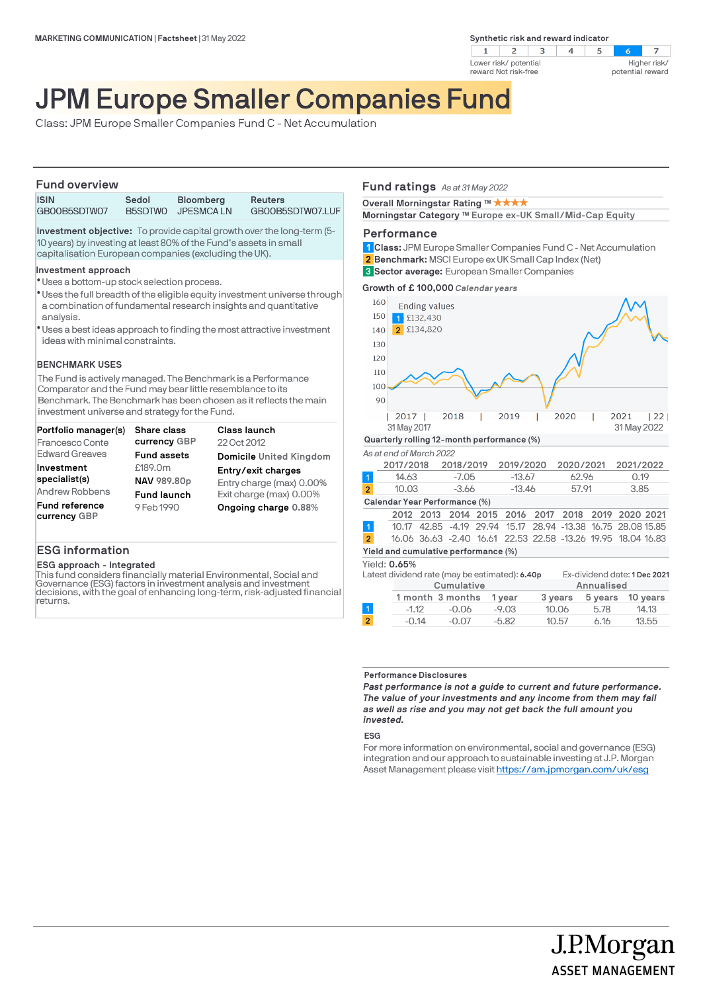**Synthetic risk and reward indicator** 



### $\overline{z}$ Higher risk/ potential reward

# JPM Europe Smaller Companies Fund

Class: JPM Europe Smaller Companies Fund C - Net Accumulation

# **Fund overview**

| <b>ISIN</b>  | Sedol | <b>Bloomberg</b>  | Reuters          |
|--------------|-------|-------------------|------------------|
| GB00B5SDTW07 |       | B5SDTWO JPESMCALN | GB00B5SDTW07.LUF |

**Investment objective:** To provide capital growth over the long-term (5- 10 years) by investing at least 80% of the Fund's assets in small capitalisation European companies (excluding the UK).

### **Investment approach**

- Uses a bottom-up stock selection process. l
- \* Uses the full breadth of the eligible equity investment universe through a combination of fundamental research insights and quantitative analysis.
- Uses a best ideas approach to finding the most attractive investment l ideas with minimal constraints.

### **BENCHMARK USES**

The Fund is actively managed. The Benchmark is a Performance Comparator and the Fund may bear little resemblance to its Benchmark. The Benchmark has been chosen as it reflects the main investment universe and strategy for the Fund.

| Portfolio manager(s)                  | <b>Share class</b> | <b>Class launch</b>      |
|---------------------------------------|--------------------|--------------------------|
| Francesco Conte                       | currency GBP       | 22 Oct 2012              |
| <b>Edward Greaves</b>                 | <b>Fund assets</b> | Domicile United Kingdom  |
| Investment                            | £189.0m            | Entry/exit charges       |
| specialist(s)                         | NAV 989.80p        | Entry charge (max) 0.00% |
| Andrew Robbens                        | <b>Fund launch</b> | Exit charge (max) 0.00%  |
| <b>Fund reference</b><br>currency GBP | 9 Feb 1990         | Ongoing charge 0.88%     |

# **ESG information**

**ESG approach - Integrated**

This fund considers financially material Environmental, Social and Governance (ESG) factors in investment analysis and investment decisions, with the goal of enhancing long-term, risk-adjusted financial returns.

# **Fund ratings** *As at 31 May 2022*

**Overall Morningstar Rating ™ ★ ★ ★ ★** 

Morningstar Category ™ Europe ex-UK Small/Mid-Cap Equity

### **Performance**

**Class:** JPM Europe Smaller Companies Fund C - Net Accumulation **1 Benchmark:** MSCI Europe ex UK Small Cap Index (Net) **Sector average:** European Smaller Companies **3 2**

**Growth of £ 100,000** *Calendar years*



|                | Latest dividend rate (may be estimated): 6.40p |                  |         |            | Ex-dividend date: 1 Dec 2021 |          |  |
|----------------|------------------------------------------------|------------------|---------|------------|------------------------------|----------|--|
|                | Cumulative                                     |                  |         | Annualised |                              |          |  |
|                |                                                | 1 month 3 months | 1 vear  | 3 years    | 5 years                      | 10 vears |  |
|                | $-1.12$                                        | $-0.06$          | $-9.03$ | 10.06      | 5.78                         | 14.13    |  |
| $\overline{2}$ | $-0.14$                                        | $-0.07$          | $-5.82$ | 10.57      | 6.16                         | 13.55    |  |
|                |                                                |                  |         |            |                              |          |  |

#### **Performance Disclosures**

*Past performance is not a guide to current and future performance. The value of your investments and any income from them may fall as well as rise and you may not get back the full amount you invested.* 

#### **ESG**

For more information on environmental, social and governance (ESG) integration and our approach to sustainable investing at J.P. Morgan Asset Management please visit https://am.jpmorgan.com/uk/esg

> J.P.Morgan **ASSET MANAGEMENT**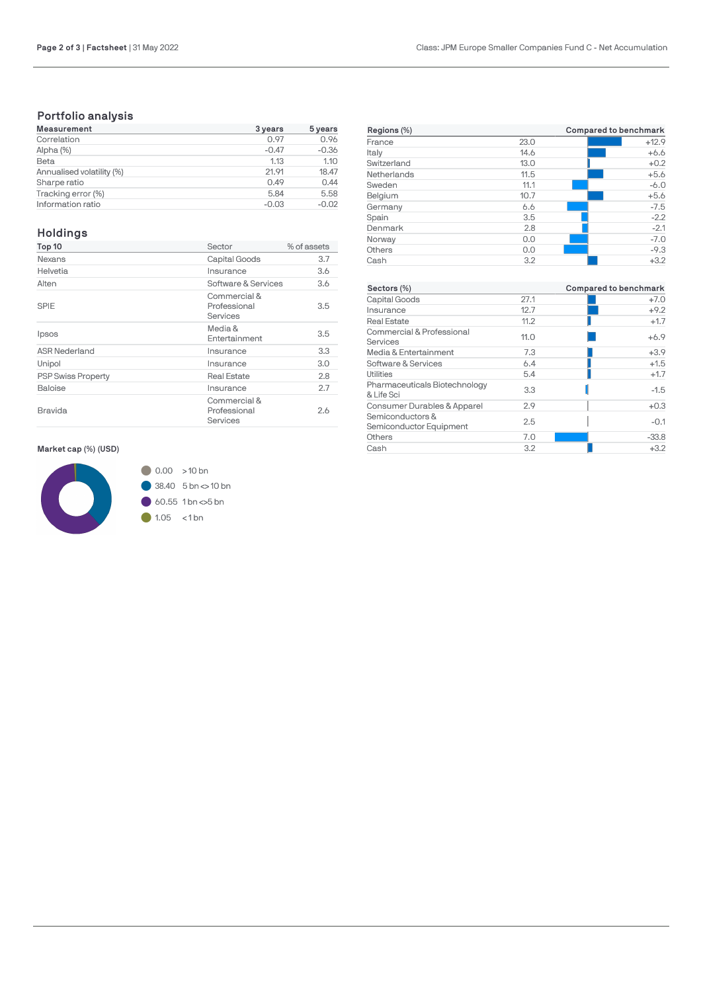# **Portfolio analysis**

| <b>Measurement</b>        | 3 years | 5 years |
|---------------------------|---------|---------|
| Correlation               | 0.97    | 0.96    |
| Alpha (%)                 | $-0.47$ | $-0.36$ |
| Beta                      | 1.13    | 1.10    |
| Annualised volatility (%) | 21.91   | 18.47   |
| Sharpe ratio              | 0.49    | 0.44    |
| Tracking error (%)        | 5.84    | 5.58    |
| Information ratio         | $-0.03$ | $-0.02$ |

# **Holdings**

| Top 10                    | Sector                                   | % of assets |
|---------------------------|------------------------------------------|-------------|
| Nexans                    | Capital Goods                            | 3.7         |
| Helvetia                  | Insurance                                | 3.6         |
| Alten                     | Software & Services                      | 3.6         |
| SPIE                      | Commercial &<br>Professional<br>Services | 3.5         |
| Ipsos                     | Media &<br>Entertainment                 | 3.5         |
| <b>ASR Nederland</b>      | Insurance                                | 3.3         |
| Unipol                    | Insurance                                | 3.0         |
| <b>PSP Swiss Property</b> | <b>Real Estate</b>                       | 2.8         |
| Baloise                   | Insurance                                | 2.7         |
| Bravida                   | Commercial &<br>Professional<br>Services | 2.6         |

**Market cap (%) (USD)**



- $38.40$  5 bn  $\approx$  10 bn
- 

 $\bigcirc$  1.05 < 1 bn

| Regions (%) | Compared to benchmark |         |  |
|-------------|-----------------------|---------|--|
| France      | 23.0                  | $+12.9$ |  |
| Italy       | 14.6                  | $+6.6$  |  |
| Switzerland | 13.0                  | $+0.2$  |  |
| Netherlands | 11.5                  | $+5.6$  |  |
| Sweden      | 11.1                  | $-6.0$  |  |
| Belgium     | 10.7                  | $+5.6$  |  |
| Germany     | 6.6                   | $-7.5$  |  |
| Spain       | 3.5                   | $-2.2$  |  |
| Denmark     | 2.8                   | $-2.1$  |  |
| Norway      | 0.0                   | $-7.0$  |  |
| Others      | 0.0                   | $-9.3$  |  |
| Cash        | 3.2                   | $+3.2$  |  |

| Sectors (%)                                 |      | Compared to benchmark |
|---------------------------------------------|------|-----------------------|
| Capital Goods                               | 27.1 | $+7.0$                |
| Insurance                                   | 12.7 | $+9.2$                |
| Real Estate                                 | 11.2 | $+1.7$                |
| Commercial & Professional<br>Services       | 11.0 | $+6.9$                |
| Media & Entertainment                       | 7.3  | $+3.9$                |
| Software & Services                         | 6.4  | $+1.5$                |
| Utilities                                   | 5.4  | $+1.7$                |
| Pharmaceuticals Biotechnology<br>& Life Sci | 3.3  | $-1.5$                |
| Consumer Durables & Apparel                 | 2.9  | $+0.3$                |
| Semiconductors &<br>Semiconductor Equipment | 2.5  | $-0.1$                |
| Others                                      | 7.0  | $-33.8$               |
| Cash                                        | 3.2  | $+3.2$                |